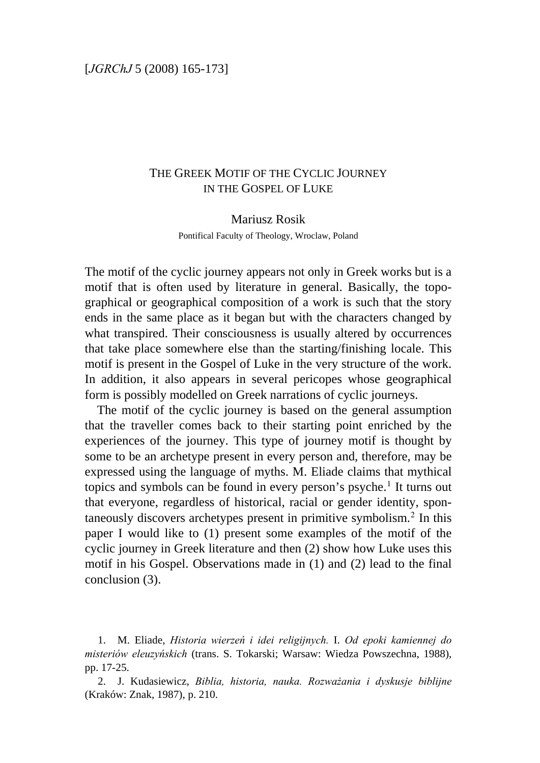# THE GREEK MOTIF OF THE CYCLIC JOURNEY IN THE GOSPEL OF LUKE

#### Mariusz Rosik

Pontifical Faculty of Theology, Wroclaw, Poland

The motif of the cyclic journey appears not only in Greek works but is a motif that is often used by literature in general. Basically, the topographical or geographical composition of a work is such that the story ends in the same place as it began but with the characters changed by what transpired. Their consciousness is usually altered by occurrences that take place somewhere else than the starting/finishing locale. This motif is present in the Gospel of Luke in the very structure of the work. In addition, it also appears in several pericopes whose geographical form is possibly modelled on Greek narrations of cyclic journeys.

The motif of the cyclic journey is based on the general assumption that the traveller comes back to their starting point enriched by the experiences of the journey. This type of journey motif is thought by some to be an archetype present in every person and, therefore, may be expressed using the language of myths. M. Eliade claims that mythical topics and symbols can be found in every person's psyche.<sup>[1](#page-0-0)</sup> It turns out that everyone, regardless of historical, racial or gender identity, spontaneously discovers archetypes present in primitive symbolism.[2](#page-0-1) In this paper I would like to (1) present some examples of the motif of the cyclic journey in Greek literature and then (2) show how Luke uses this motif in his Gospel. Observations made in (1) and (2) lead to the final conclusion (3).

<span id="page-0-0"></span><sup>1.</sup> M. Eliade, *Historia wierzeń i idei religijnych.* I. *Od epoki kamiennej do misteriów eleuzyńskich* (trans. S. Tokarski; Warsaw: Wiedza Powszechna, 1988), pp. 17-25.

<span id="page-0-1"></span><sup>2.</sup> J. Kudasiewicz, *Biblia, historia, nauka. Rozważania i dyskusje biblijne* (Kraków: Znak, 1987), p. 210.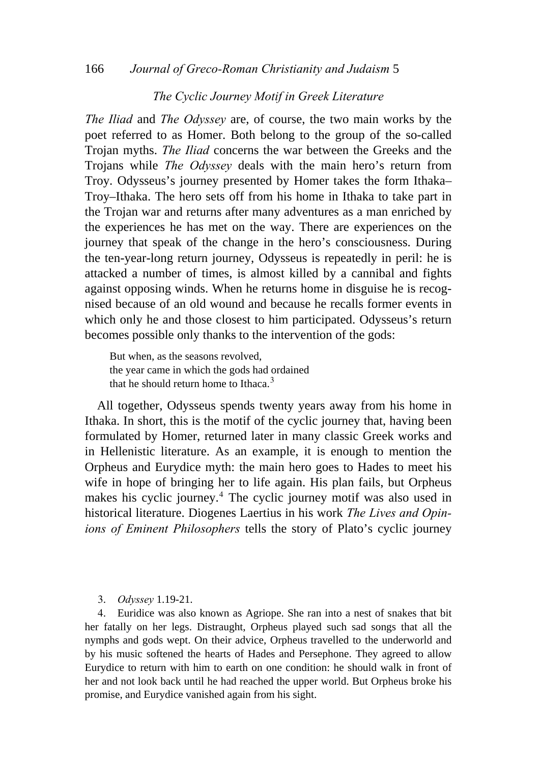### 166 *Journal of Greco-Roman Christianity and Judaism* 5

### *The Cyclic Journey Motif in Greek Literature*

*The Iliad* and *The Odyssey* are, of course, the two main works by the poet referred to as Homer. Both belong to the group of the so-called Trojan myths. *The Iliad* concerns the war between the Greeks and the Trojans while *The Odyssey* deals with the main hero's return from Troy. Odysseus's journey presented by Homer takes the form Ithaka– Troy–Ithaka. The hero sets off from his home in Ithaka to take part in the Trojan war and returns after many adventures as a man enriched by the experiences he has met on the way. There are experiences on the journey that speak of the change in the hero's consciousness. During the ten-year-long return journey, Odysseus is repeatedly in peril: he is attacked a number of times, is almost killed by a cannibal and fights against opposing winds. When he returns home in disguise he is recognised because of an old wound and because he recalls former events in which only he and those closest to him participated. Odysseus's return becomes possible only thanks to the intervention of the gods:

But when, as the seasons revolved, the year came in which the gods had ordained that he should return home to Ithaca.<sup>[3](#page-1-0)</sup>

All together, Odysseus spends twenty years away from his home in Ithaka. In short, this is the motif of the cyclic journey that, having been formulated by Homer, returned later in many classic Greek works and in Hellenistic literature. As an example, it is enough to mention the Orpheus and Eurydice myth: the main hero goes to Hades to meet his wife in hope of bringing her to life again. His plan fails, but Orpheus makes his cyclic journey.[4](#page-1-1) The cyclic journey motif was also used in historical literature. Diogenes Laertius in his work *The Lives and Opinions of Eminent Philosophers* tells the story of Plato's cyclic journey

3. *Odyssey* 1.19-21.

<span id="page-1-1"></span><span id="page-1-0"></span>4. Euridice was also known as Agriope. She ran into a nest of snakes that bit her fatally on her legs. Distraught, Orpheus played such sad songs that all the [nymphs](http://en.wikipedia.org/wiki/Nymph) and gods wept. On their advice, Orpheus travelled to the underworld and by his music softened the hearts of Hades and Persephone. They agreed to allow Eurydice to return with him to earth on one condition: he should walk in front of her and not look back until he had reached the upper world. But Orpheus broke his promise, and Eurydice vanished again from his sight.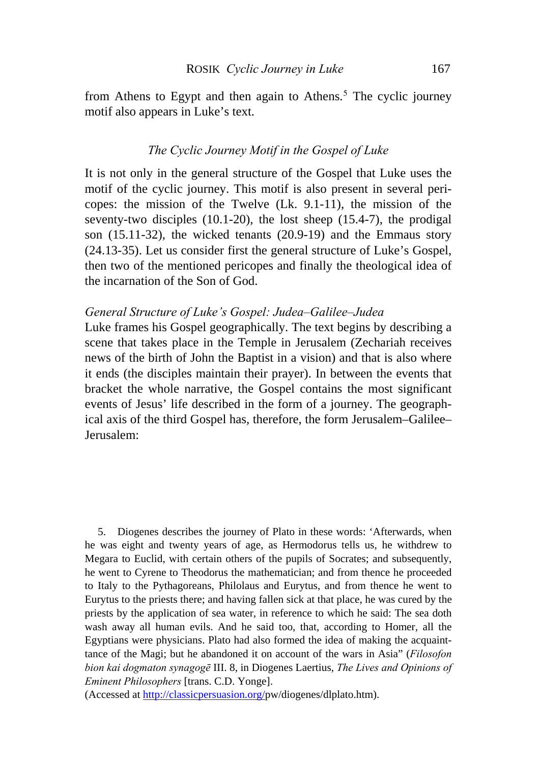from Athens to Egypt and then again to Athens.<sup>[5](#page-2-0)</sup> The cyclic journey motif also appears in Luke's text.

## *The Cyclic Journey Motif in the Gospel of Luke*

It is not only in the general structure of the Gospel that Luke uses the motif of the cyclic journey. This motif is also present in several pericopes: the mission of the Twelve (Lk. 9.1-11), the mission of the seventy-two disciples (10.1-20), the lost sheep (15.4-7), the prodigal son (15.11-32), the wicked tenants (20.9-19) and the Emmaus story (24.13-35). Let us consider first the general structure of Luke's Gospel, then two of the mentioned pericopes and finally the theological idea of the incarnation of the Son of God.

### *General Structure of Luke's Gospel: Judea–Galilee–Judea*

Luke frames his Gospel geographically. The text begins by describing a scene that takes place in the Temple in Jerusalem (Zechariah receives news of the birth of John the Baptist in a vision) and that is also where it ends (the disciples maintain their prayer). In between the events that bracket the whole narrative, the Gospel contains the most significant events of Jesus' life described in the form of a journey. The geographical axis of the third Gospel has, therefore, the form Jerusalem–Galilee– Jerusalem:

<span id="page-2-0"></span>5. Diogenes describes the journey of Plato in these words: 'Afterwards, when he was eight and twenty years of age, as Hermodorus tells us, he withdrew to Megara to Euclid, with certain others of the pupils of Socrates; and subsequently, he went to Cyrene to Theodorus the mathematician; and from thence he proceeded to Italy to the Pythagoreans, Philolaus and Eurytus, and from thence he went to Eurytus to the priests there; and having fallen sick at that place, he was cured by the priests by the application of sea water, in reference to which he said: The sea doth wash away all human evils. And he said too, that, according to Homer, all the Egyptians were physicians. Plato had also formed the idea of making the acquainttance of the Magi; but he abandoned it on account of the wars in Asia" (*Filosofon bion kai dogmaton synagogē* III. 8, in Diogenes Laertius, *The Lives and Opinions of Eminent Philosophers* [trans. C.D. Yonge].

(Accessed at <http://classicpersuasion.org/>pw/diogenes/dlplato.htm).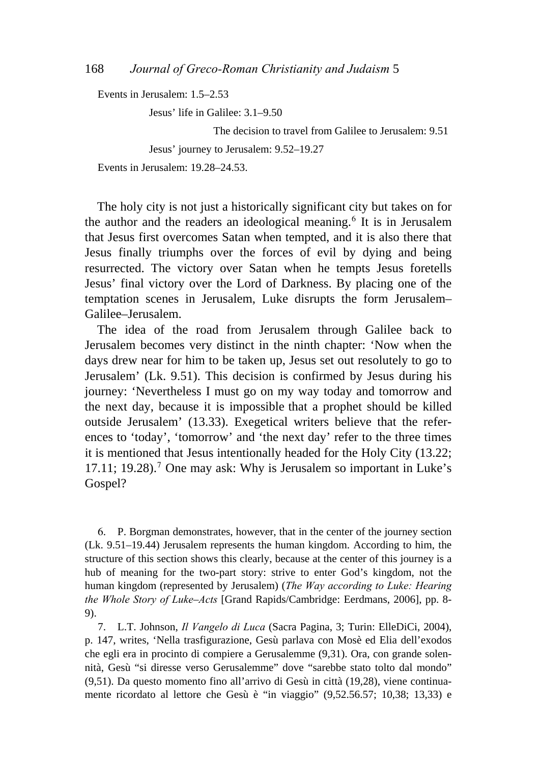Events in Jerusalem: 1.5–2.53

Jesus' life in Galilee: 3.1–9.50

The decision to travel from Galilee to Jerusalem: 9.51

Jesus' journey to Jerusalem: 9.52–19.27

Events in Jerusalem: 19.28–24.53.

The holy city is not just a historically significant city but takes on for the author and the readers an ideological meaning.[6](#page-3-0) It is in Jerusalem that Jesus first overcomes Satan when tempted, and it is also there that Jesus finally triumphs over the forces of evil by dying and being resurrected. The victory over Satan when he tempts Jesus foretells Jesus' final victory over the Lord of Darkness. By placing one of the temptation scenes in Jerusalem, Luke disrupts the form Jerusalem– Galilee–Jerusalem.

The idea of the road from Jerusalem through Galilee back to Jerusalem becomes very distinct in the ninth chapter: 'Now when the days drew near for him to be taken up, Jesus set out resolutely to go to Jerusalem' (Lk. 9.51). This decision is confirmed by Jesus during his journey: 'Nevertheless I must go on my way today and tomorrow and the next day, because it is impossible that a prophet should be killed outside Jerusalem' (13.33). Exegetical writers believe that the references to 'today', 'tomorrow' and 'the next day' refer to the three times it is mentioned that Jesus intentionally headed for the Holy City (13.22; 1[7](#page-3-1).11; 19.28).<sup>7</sup> One may ask: Why is Jerusalem so important in Luke's Gospel?

<span id="page-3-0"></span>6. P. Borgman demonstrates, however, that in the center of the journey section (Lk. 9.51–19.44) Jerusalem represents the human kingdom. According to him, the structure of this section shows this clearly, because at the center of this journey is a hub of meaning for the two-part story: strive to enter God's kingdom, not the human kingdom (represented by Jerusalem) (*The Way according to Luke: Hearing the Whole Story of Luke*–*Acts* [Grand Rapids/Cambridge: Eerdmans, 2006], pp. 8- 9).

<span id="page-3-1"></span>7. L.T. Johnson, *Il Vangelo di Luca* (Sacra Pagina, 3; Turin: ElleDiCi, 2004), p. 147, writes, 'Nella trasfigurazione, Gesù parlava con Mosè ed Elia dell'exodos che egli era in procinto di compiere a Gerusalemme (9,31). Ora, con grande solennità, Gesù "si diresse verso Gerusalemme" dove "sarebbe stato tolto dal mondo" (9,51). Da questo momento fino all'arrivo di Gesù in città (19,28), viene continuamente ricordato al lettore che Gesù è "in viaggio" (9,52.56.57; 10,38; 13,33) e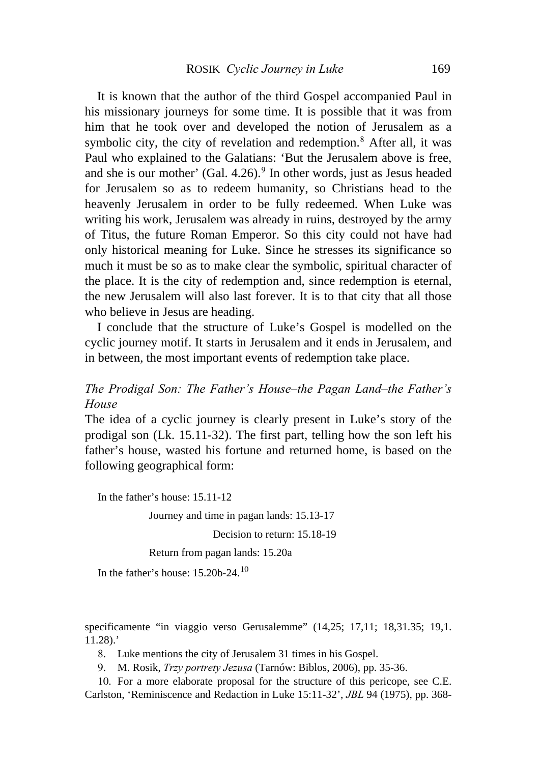It is known that the author of the third Gospel accompanied Paul in his missionary journeys for some time. It is possible that it was from him that he took over and developed the notion of Jerusalem as a symbolic city, the city of revelation and redemption.<sup>[8](#page-4-0)</sup> After all, it was Paul who explained to the Galatians: 'But the Jerusalem above is free, and she is our mother' (Gal.  $4.26$ ).<sup>[9](#page-4-1)</sup> In other words, just as Jesus headed for Jerusalem so as to redeem humanity, so Christians head to the heavenly Jerusalem in order to be fully redeemed. When Luke was writing his work, Jerusalem was already in ruins, destroyed by the army of Titus, the future Roman Emperor. So this city could not have had only historical meaning for Luke. Since he stresses its significance so much it must be so as to make clear the symbolic, spiritual character of the place. It is the city of redemption and, since redemption is eternal, the new Jerusalem will also last forever. It is to that city that all those who believe in Jesus are heading.

I conclude that the structure of Luke's Gospel is modelled on the cyclic journey motif. It starts in Jerusalem and it ends in Jerusalem, and in between, the most important events of redemption take place.

# *The Prodigal Son: The Father's House–the Pagan Land–the Father's House*

The idea of a cyclic journey is clearly present in Luke's story of the prodigal son (Lk. 15.11-32). The first part, telling how the son left his father's house, wasted his fortune and returned home, is based on the following geographical form:

In the father's house: 15.11-12

Journey and time in pagan lands: 15.13-17

Decision to return: 15.18-19

Return from pagan lands: 15.20a

In the father's house: 15.20b-24.[10](#page-4-2)

<span id="page-4-0"></span>specificamente "in viaggio verso Gerusalemme" (14,25; 17,11; 18,31.35; 19,1. 11.28).'

8. Luke mentions the city of Jerusalem 31 times in his Gospel.

9. M. Rosik, *Trzy portrety Jezusa* (Tarnów: Biblos, 2006), pp. 35-36.

<span id="page-4-2"></span><span id="page-4-1"></span>10. For a more elaborate proposal for the structure of this pericope, see C.E. Carlston, 'Reminiscence and Redaction in Luke 15:11-32', *JBL* 94 (1975), pp. 368-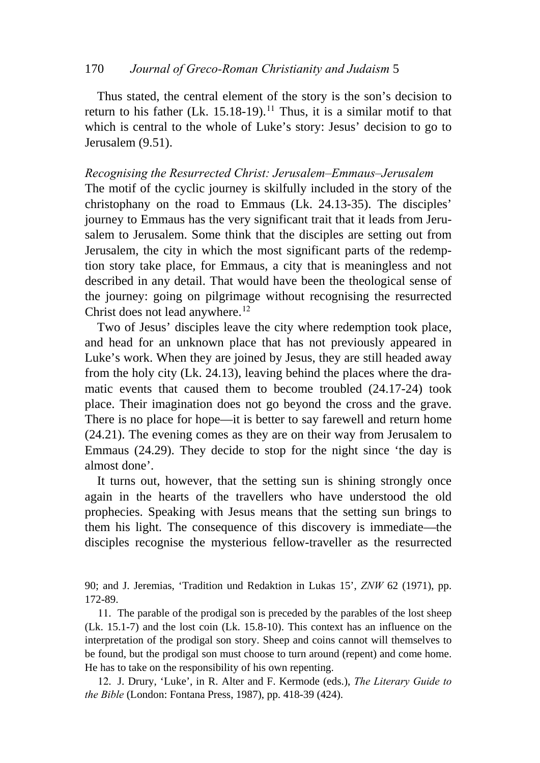### 170 *Journal of Greco-Roman Christianity and Judaism* 5

Thus stated, the central element of the story is the son's decision to return to his father (Lk. 15.18-19).<sup>[11](#page-5-0)</sup> Thus, it is a similar motif to that which is central to the whole of Luke's story: Jesus' decision to go to Jerusalem (9.51).

### *Recognising the Resurrected Christ: Jerusalem–Emmaus–Jerusalem*

The motif of the cyclic journey is skilfully included in the story of the christophany on the road to Emmaus (Lk. 24.13-35). The disciples' journey to Emmaus has the very significant trait that it leads from Jerusalem to Jerusalem. Some think that the disciples are setting out from Jerusalem, the city in which the most significant parts of the redemption story take place, for Emmaus, a city that is meaningless and not described in any detail. That would have been the theological sense of the journey: going on pilgrimage without recognising the resurrected Christ does not lead anywhere.<sup>[12](#page-5-1)</sup>

Two of Jesus' disciples leave the city where redemption took place, and head for an unknown place that has not previously appeared in Luke's work. When they are joined by Jesus, they are still headed away from the holy city (Lk. 24.13), leaving behind the places where the dramatic events that caused them to become troubled (24.17-24) took place. Their imagination does not go beyond the cross and the grave. There is no place for hope—it is better to say farewell and return home (24.21). The evening comes as they are on their way from Jerusalem to Emmaus (24.29). They decide to stop for the night since 'the day is almost done'.

It turns out, however, that the setting sun is shining strongly once again in the hearts of the travellers who have understood the old prophecies. Speaking with Jesus means that the setting sun brings to them his light. The consequence of this discovery is immediate—the disciples recognise the mysterious fellow-traveller as the resurrected

90; and J. Jeremias, 'Tradition und Redaktion in Lukas 15', *ZNW* 62 (1971), pp. 172-89.

<span id="page-5-0"></span>11. The parable of the prodigal son is preceded by the parables of the lost sheep (Lk. 15.1-7) and the lost coin (Lk. 15.8-10). This context has an influence on the interpretation of the prodigal son story. Sheep and coins cannot will themselves to be found, but the prodigal son must choose to turn around (repent) and come home. He has to take on the responsibility of his own repenting.

<span id="page-5-1"></span>12. J. Drury, 'Luke', in R. Alter and F. Kermode (eds.), *The Literary Guide to the Bible* (London: Fontana Press, 1987), pp. 418-39 (424).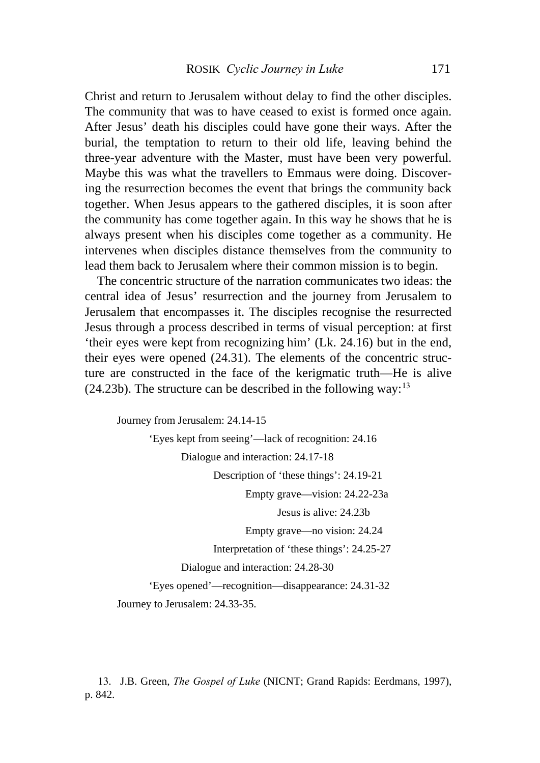Christ and return to Jerusalem without delay to find the other disciples. The community that was to have ceased to exist is formed once again. After Jesus' death his disciples could have gone their ways. After the burial, the temptation to return to their old life, leaving behind the three-year adventure with the Master, must have been very powerful. Maybe this was what the travellers to Emmaus were doing. Discovering the resurrection becomes the event that brings the community back together. When Jesus appears to the gathered disciples, it is soon after the community has come together again. In this way he shows that he is always present when his disciples come together as a community. He intervenes when disciples distance themselves from the community to lead them back to Jerusalem where their common mission is to begin.

The concentric structure of the narration communicates two ideas: the central idea of Jesus' resurrection and the journey from Jerusalem to Jerusalem that encompasses it. The disciples recognise the resurrected Jesus through a process described in terms of visual perception: at first 'their eyes were kept from recognizing him' (Lk. 24.16) but in the end, their eyes were opened (24.31). The elements of the concentric structure are constructed in the face of the kerigmatic truth—He is alive  $(24.23b)$ . The structure can be described in the following way:<sup>[13](#page-6-0)</sup>

Journey from Jerusalem: 24.14-15 'Eyes kept from seeing'—lack of recognition: 24.16 Dialogue and interaction: 24.17-18 Description of 'these things': 24.19-21 Empty grave—vision: 24.22-23a Jesus is alive: 24.23b Empty grave—no vision: 24.24 Interpretation of 'these things': 24.25-27 Dialogue and interaction: 24.28-30 'Eyes opened'—recognition—disappearance: 24.31-32 Journey to Jerusalem: 24.33-35.

<span id="page-6-0"></span>13. J.B. Green, *The Gospel of Luke* (NICNT; Grand Rapids: Eerdmans, 1997), p. 842.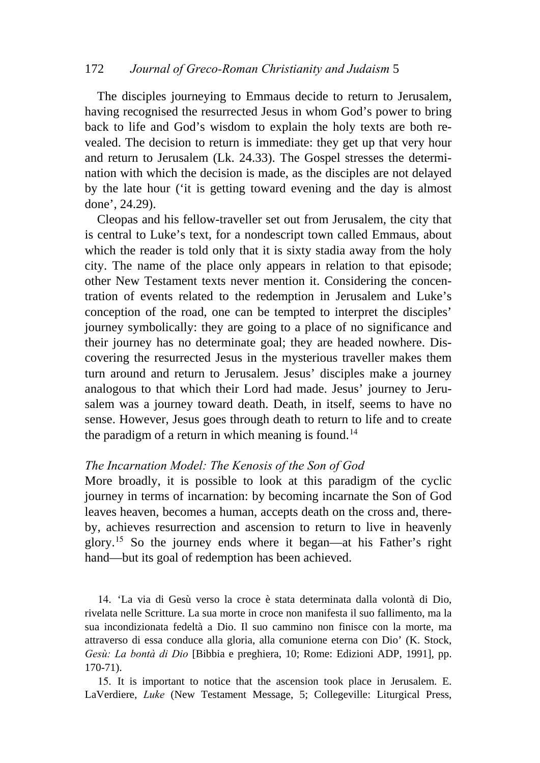### 172 *Journal of Greco-Roman Christianity and Judaism* 5

The disciples journeying to Emmaus decide to return to Jerusalem, having recognised the resurrected Jesus in whom God's power to bring back to life and God's wisdom to explain the holy texts are both revealed. The decision to return is immediate: they get up that very hour and return to Jerusalem (Lk. 24.33). The Gospel stresses the determination with which the decision is made, as the disciples are not delayed by the late hour ('it is getting toward evening and the day is almost done', 24.29).

Cleopas and his fellow-traveller set out from Jerusalem, the city that is central to Luke's text, for a nondescript town called Emmaus, about which the reader is told only that it is sixty stadia away from the holy city. The name of the place only appears in relation to that episode; other New Testament texts never mention it. Considering the concentration of events related to the redemption in Jerusalem and Luke's conception of the road, one can be tempted to interpret the disciples' journey symbolically: they are going to a place of no significance and their journey has no determinate goal; they are headed nowhere. Discovering the resurrected Jesus in the mysterious traveller makes them turn around and return to Jerusalem. Jesus' disciples make a journey analogous to that which their Lord had made. Jesus' journey to Jerusalem was a journey toward death. Death, in itself, seems to have no sense. However, Jesus goes through death to return to life and to create the paradigm of a return in which meaning is found.<sup>[14](#page-7-0)</sup>

### *The Incarnation Model: The Kenosis of the Son of God*

More broadly, it is possible to look at this paradigm of the cyclic journey in terms of incarnation: by becoming incarnate the Son of God leaves heaven, becomes a human, accepts death on the cross and, thereby, achieves resurrection and ascension to return to live in heavenly glory.[15](#page-7-1) So the journey ends where it began—at his Father's right hand—but its goal of redemption has been achieved.

<span id="page-7-0"></span>14. 'La via di Gesù verso la croce è stata determinata dalla volontà di Dio, rivelata nelle Scritture. La sua morte in croce non manifesta il suo fallimento, ma la sua incondizionata fedeltà a Dio. Il suo cammino non finisce con la morte, ma attraverso di essa conduce alla gloria, alla comunione eterna con Dio' (K. Stock, *Gesù: La bontà di Dio* [Bibbia e preghiera, 10; Rome: Edizioni ADP, 1991], pp. 170-71).

<span id="page-7-1"></span>15. It is important to notice that the ascension took place in Jerusalem. E. LaVerdiere, *Luke* (New Testament Message, 5; Collegeville: Liturgical Press,